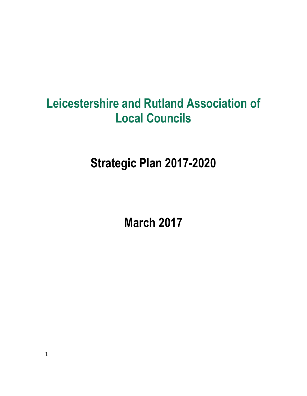# **Leicestershire and Rutland Association of Local Councils**

**Strategic Plan 2017-2020**

**March 2017**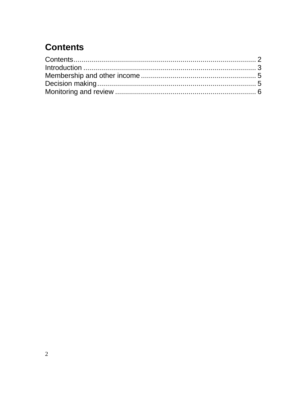## <span id="page-1-0"></span>**Contents**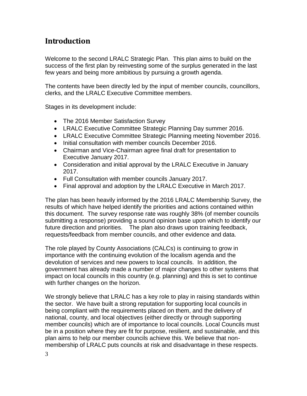### <span id="page-2-0"></span>**Introduction**

Welcome to the second LRALC Strategic Plan. This plan aims to build on the success of the first plan by reinvesting some of the surplus generated in the last few years and being more ambitious by pursuing a growth agenda.

The contents have been directly led by the input of member councils, councillors, clerks, and the LRALC Executive Committee members.

Stages in its development include:

- The 2016 Member Satisfaction Survey
- LRALC Executive Committee Strategic Planning Day summer 2016.
- LRALC Executive Committee Strategic Planning meeting November 2016.
- Initial consultation with member councils December 2016.
- Chairman and Vice-Chairman agree final draft for presentation to Executive January 2017.
- Consideration and initial approval by the LRALC Executive in January 2017.
- Full Consultation with member councils January 2017.
- Final approval and adoption by the LRALC Executive in March 2017.

The plan has been heavily informed by the 2016 LRALC Membership Survey, the results of which have helped identify the priorities and actions contained within this document. The survey response rate was roughly 38% (of member councils submitting a response) providing a sound opinion base upon which to identify our future direction and priorities. The plan also draws upon training feedback, requests/feedback from member councils, and other evidence and data.

The role played by County Associations (CALCs) is continuing to grow in importance with the continuing evolution of the localism agenda and the devolution of services and new powers to local councils. In addition, the government has already made a number of major changes to other systems that impact on local councils in this country (e.g. planning) and this is set to continue with further changes on the horizon.

We strongly believe that LRALC has a key role to play in raising standards within the sector. We have built a strong reputation for supporting local councils in being compliant with the requirements placed on them, and the delivery of national, county, and local objectives (either directly or through supporting member councils) which are of importance to local councils. Local Councils must be in a position where they are fit for purpose, resilient, and sustainable, and this plan aims to help our member councils achieve this. We believe that nonmembership of LRALC puts councils at risk and disadvantage in these respects.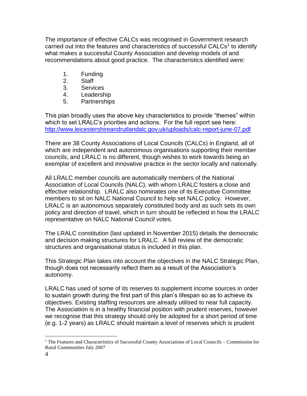The importance of effective CALCs was recognised in Government research carried out into the features and characteristics of successful CALCs<sup>1</sup> to identify what makes a successful County Association and develop models of and recommendations about good practice. The characteristics identified were:

- 1. Funding
- 2. Staff
- 3. Services
- 4. Leadership
- 5. Partnerships

This plan broadly uses the above key characteristics to provide "themes" within which to set LRALC's priorities and actions. For the full report see here: <http://www.leicestershireandrutlandalc.gov.uk/uploads/calc-report-june-07.pdf>

There are 38 County Associations of Local Councils (CALCs) in England, all of which are independent and autonomous organisations supporting their member councils, and LRALC is no different, though wishes to work towards being an exemplar of excellent and innovative practice in the sector locally and nationally.

All LRALC member councils are automatically members of the National Association of Local Councils (NALC), with whom LRALC fosters a close and effective relationship. LRALC also nominates one of its Executive Committee members to sit on NALC National Council to help set NALC policy. However, LRALC is an autonomous separately constituted body and as such sets its own policy and direction of travel, which in turn should be reflected in how the LRALC representative on NALC National Council votes.

The LRALC constitution (last updated in November 2015) details the democratic and decision making structures for LRALC. A full review of the democratic structures and organisational status is included in this plan.

This Strategic Plan takes into account the objectives in the NALC Strategic Plan, though does not necessarily reflect them as a result of the Association's autonomy.

LRALC has used of some of its reserves to supplement income sources in order to sustain growth during the first part of this plan's lifespan so as to achieve its objectives. Existing staffing resources are already utilised to near full capacity. The Association is in a healthy financial position with prudent reserves, however we recognise that this strategy should only be adopted for a short period of time (e.g. 1-2 years) as LRALC should maintain a level of reserves which is prudent

 $\overline{a}$ 

<sup>&</sup>lt;sup>1</sup> The Features and Characteristics of Successful County Associations of Local Councils – Commission for Rural Communities July 2007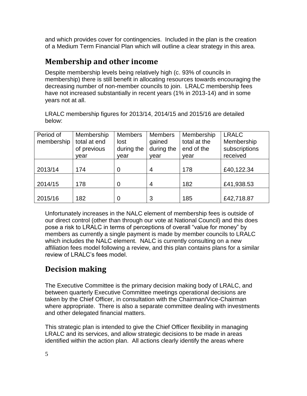and which provides cover for contingencies. Included in the plan is the creation of a Medium Term Financial Plan which will outline a clear strategy in this area.

#### <span id="page-4-0"></span>**Membership and other income**

Despite membership levels being relatively high (c. 93% of councils in membership) there is still benefit in allocating resources towards encouraging the decreasing number of non-member councils to join. LRALC membership fees have not increased substantially in recent years (1% in 2013-14) and in some years not at all.

LRALC membership figures for 2013/14, 2014/15 and 2015/16 are detailed below:

| Period of  | Membership   | <b>Members</b> | <b>Members</b> | Membership   | <b>LRALC</b>  |
|------------|--------------|----------------|----------------|--------------|---------------|
| membership | total at end | lost           | gained         | total at the | Membership    |
|            | of previous  | during the     | during the     | end of the   | subscriptions |
|            | year         | year           | year           | year         | received      |
|            |              |                |                |              |               |
| 2013/14    | 174          | 0              | 4              | 178          | £40,122.34    |
|            |              |                |                |              |               |
| 2014/15    | 178          | 0              | 4              | 182          | £41,938.53    |
|            |              |                |                |              |               |
| 2015/16    | 182          | 0              | 3              | 185          | £42,718.87    |

Unfortunately increases in the NALC element of membership fees is outside of our direct control (other than through our vote at National Council) and this does pose a risk to LRALC in terms of perceptions of overall "value for money" by members as currently a single payment is made by member councils to LRALC which includes the NALC element. NALC is currently consulting on a new affiliation fees model following a review, and this plan contains plans for a similar review of LRALC's fees model.

## <span id="page-4-1"></span>**Decision making**

The Executive Committee is the primary decision making body of LRALC, and between quarterly Executive Committee meetings operational decisions are taken by the Chief Officer, in consultation with the Chairman/Vice-Chairman where appropriate. There is also a separate committee dealing with investments and other delegated financial matters.

This strategic plan is intended to give the Chief Officer flexibility in managing LRALC and its services, and allow strategic decisions to be made in areas identified within the action plan. All actions clearly identify the areas where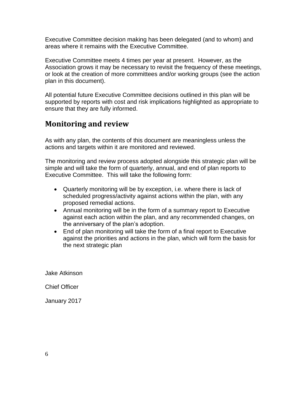Executive Committee decision making has been delegated (and to whom) and areas where it remains with the Executive Committee.

Executive Committee meets 4 times per year at present. However, as the Association grows it may be necessary to revisit the frequency of these meetings, or look at the creation of more committees and/or working groups (see the action plan in this document).

All potential future Executive Committee decisions outlined in this plan will be supported by reports with cost and risk implications highlighted as appropriate to ensure that they are fully informed.

### <span id="page-5-0"></span>**Monitoring and review**

As with any plan, the contents of this document are meaningless unless the actions and targets within it are monitored and reviewed.

The monitoring and review process adopted alongside this strategic plan will be simple and will take the form of quarterly, annual, and end of plan reports to Executive Committee. This will take the following form:

- Quarterly monitoring will be by exception, i.e. where there is lack of scheduled progress/activity against actions within the plan, with any proposed remedial actions.
- Annual monitoring will be in the form of a summary report to Executive against each action within the plan, and any recommended changes, on the anniversary of the plan's adoption.
- End of plan monitoring will take the form of a final report to Executive against the priorities and actions in the plan, which will form the basis for the next strategic plan

Jake Atkinson

Chief Officer

January 2017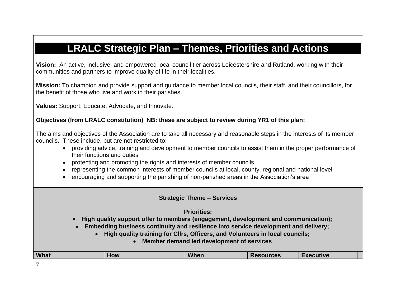## **LRALC Strategic Plan – Themes, Priorities and Actions**

**Vision:** An active, inclusive, and empowered local council tier across Leicestershire and Rutland, working with their communities and partners to improve quality of life in their localities.

**Mission:** To champion and provide support and guidance to member local councils, their staff, and their councillors, for the benefit of those who live and work in their parishes.

**Values:** Support, Educate, Advocate, and Innovate.

#### **Objectives (from LRALC constitution) NB: these are subject to review during YR1 of this plan:**

The aims and objectives of the Association are to take all necessary and reasonable steps in the interests of its member councils. These include, but are not restricted to:

- providing advice, training and development to member councils to assist them in the proper performance of their functions and duties
- protecting and promoting the rights and interests of member councils
- representing the common interests of member councils at local, county, regional and national level
- encouraging and supporting the parishing of non-parished areas in the Association's area

#### **Strategic Theme – Services**

**Priorities:** 

- **High quality support offer to members (engagement, development and communication);**
- **Embedding business continuity and resilience into service development and delivery;**
	- **High quality training for Cllrs, Officers, and Volunteers in local councils;** 
		- **Member demand led development of services**

| <b>What</b> | <b>OW</b> | <b>Whon</b><br>,,,,,,, | rne<br>ししゃ | . <i>. .</i><br>sutive |
|-------------|-----------|------------------------|------------|------------------------|
|             |           |                        |            |                        |

7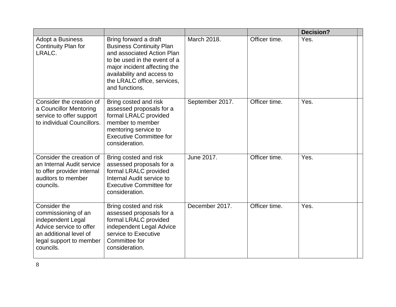|                                                                                                                                                       |                                                                                                                                                                                                                                       |                 |               | <b>Decision?</b> |
|-------------------------------------------------------------------------------------------------------------------------------------------------------|---------------------------------------------------------------------------------------------------------------------------------------------------------------------------------------------------------------------------------------|-----------------|---------------|------------------|
| Adopt a Business<br>Continuity Plan for<br>LRALC.                                                                                                     | Bring forward a draft<br><b>Business Continuity Plan</b><br>and associated Action Plan<br>to be used in the event of a<br>major incident affecting the<br>availability and access to<br>the LRALC office, services,<br>and functions. | March 2018.     | Officer time. | Yes.             |
| Consider the creation of<br>a Councillor Mentoring<br>service to offer support<br>to individual Councillors.                                          | Bring costed and risk<br>assessed proposals for a<br>formal LRALC provided<br>member to member<br>mentoring service to<br><b>Executive Committee for</b><br>consideration.                                                            | September 2017. | Officer time. | Yes.             |
| Consider the creation of<br>an Internal Audit service<br>to offer provider internal<br>auditors to member<br>councils.                                | Bring costed and risk<br>assessed proposals for a<br>formal LRALC provided<br>Internal Audit service to<br><b>Executive Committee for</b><br>consideration.                                                                           | June 2017.      | Officer time. | Yes.             |
| Consider the<br>commissioning of an<br>independent Legal<br>Advice service to offer<br>an additional level of<br>legal support to member<br>councils. | Bring costed and risk<br>assessed proposals for a<br>formal LRALC provided<br>independent Legal Advice<br>service to Executive<br>Committee for<br>consideration.                                                                     | December 2017.  | Officer time. | Yes.             |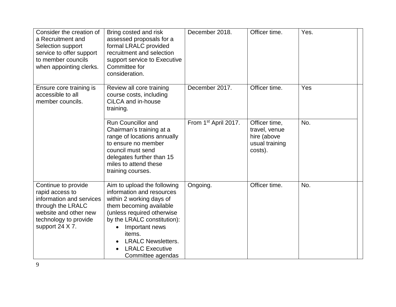| Consider the creation of<br>a Recruitment and<br>Selection support<br>service to offer support<br>to member councils<br>when appointing clerks.              | Bring costed and risk<br>assessed proposals for a<br>formal LRALC provided<br>recruitment and selection<br>support service to Executive<br>Committee for<br>consideration.                                                                                                           | December 2018.                   | Officer time.                                                              | Yes. |
|--------------------------------------------------------------------------------------------------------------------------------------------------------------|--------------------------------------------------------------------------------------------------------------------------------------------------------------------------------------------------------------------------------------------------------------------------------------|----------------------------------|----------------------------------------------------------------------------|------|
| Ensure core training is<br>accessible to all<br>member councils.                                                                                             | Review all core training<br>course costs, including<br>CiLCA and in-house<br>training.                                                                                                                                                                                               | December 2017.                   | Officer time.                                                              | Yes  |
|                                                                                                                                                              | <b>Run Councillor and</b><br>Chairman's training at a<br>range of locations annually<br>to ensure no member<br>council must send<br>delegates further than 15<br>miles to attend these<br>training courses.                                                                          | From 1 <sup>st</sup> April 2017. | Officer time,<br>travel, venue<br>hire (above<br>usual training<br>costs). | No.  |
| Continue to provide<br>rapid access to<br>information and services<br>through the LRALC<br>website and other new<br>technology to provide<br>support 24 X 7. | Aim to upload the following<br>information and resources<br>within 2 working days of<br>them becoming available<br>(unless required otherwise<br>by the LRALC constitution):<br>Important news<br>items.<br><b>LRALC Newsletters.</b><br><b>LRALC Executive</b><br>Committee agendas | Ongoing.                         | Officer time.                                                              | No.  |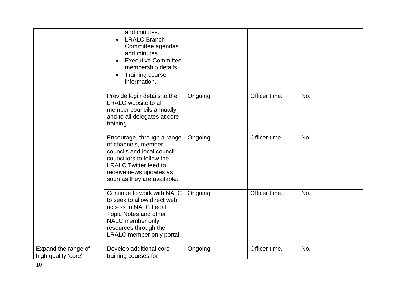|                                            | and minutes.<br><b>LRALC Branch</b><br>Committee agendas<br>and minutes.<br><b>Executive Committee</b><br>membership details.<br><b>Training course</b><br>information.                                |          |               |     |  |
|--------------------------------------------|--------------------------------------------------------------------------------------------------------------------------------------------------------------------------------------------------------|----------|---------------|-----|--|
|                                            | Provide login details to the<br><b>LRALC</b> website to all<br>member councils annually,<br>and to all delegates at core<br>training.                                                                  | Ongoing. | Officer time. | No. |  |
|                                            | Encourage, through a range<br>of channels, member<br>councils and local council<br>councillors to follow the<br><b>LRALC Twitter feed to</b><br>receive news updates as<br>soon as they are available. | Ongoing. | Officer time. | No. |  |
|                                            | Continue to work with NALC<br>to seek to allow direct web<br>access to NALC Legal<br>Topic Notes and other<br>NALC member only<br>resources through the<br>LRALC member only portal.                   | Ongoing. | Officer time. | No. |  |
| Expand the range of<br>high quality 'core' | Develop additional core<br>training courses for                                                                                                                                                        | Ongoing. | Officer time. | No. |  |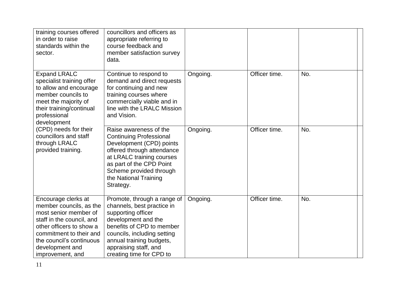| training courses offered<br>in order to raise<br>standards within the<br>sector.                                                                                                                                               | councillors and officers as<br>appropriate referring to<br>course feedback and<br>member satisfaction survey<br>data.                                                                                                                               |          |               |     |  |
|--------------------------------------------------------------------------------------------------------------------------------------------------------------------------------------------------------------------------------|-----------------------------------------------------------------------------------------------------------------------------------------------------------------------------------------------------------------------------------------------------|----------|---------------|-----|--|
| <b>Expand LRALC</b><br>specialist training offer<br>to allow and encourage<br>member councils to<br>meet the majority of<br>their training/continual<br>professional<br>development                                            | Continue to respond to<br>demand and direct requests<br>for continuing and new<br>training courses where<br>commercially viable and in<br>line with the LRALC Mission<br>and Vision.                                                                | Ongoing. | Officer time. | No. |  |
| (CPD) needs for their<br>councillors and staff<br>through LRALC<br>provided training.                                                                                                                                          | Raise awareness of the<br><b>Continuing Professional</b><br>Development (CPD) points<br>offered through attendance<br>at LRALC training courses<br>as part of the CPD Point<br>Scheme provided through<br>the National Training<br>Strategy.        | Ongoing. | Officer time. | No. |  |
| Encourage clerks at<br>member councils, as the<br>most senior member of<br>staff in the council, and<br>other officers to show a<br>commitment to their and<br>the council's continuous<br>development and<br>improvement, and | Promote, through a range of<br>channels, best practice in<br>supporting officer<br>development and the<br>benefits of CPD to member<br>councils, including setting<br>annual training budgets,<br>appraising staff, and<br>creating time for CPD to | Ongoing. | Officer time. | No. |  |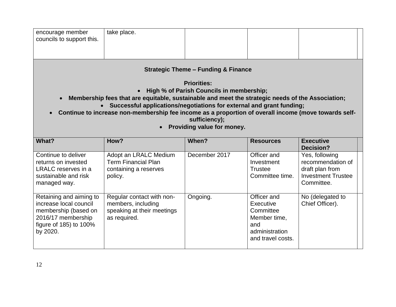| encourage member<br>councils to support this. | take place. |  |  |  |  |
|-----------------------------------------------|-------------|--|--|--|--|
|-----------------------------------------------|-------------|--|--|--|--|

**Strategic Theme – Funding & Finance**

**Priorities:** 

- **High % of Parish Councils in membership;**
- **Membership fees that are equitable, sustainable and meet the strategic needs of the Association;**
	- **Successful applications/negotiations for external and grant funding;**
- **Continue to increase non-membership fee income as a proportion of overall income (move towards selfsufficiency);**
	- **Providing value for money.**

| What?                                                                                                                                       | How?                                                                                          | When?         | <b>Resources</b>                                                                                    | <b>Executive</b><br>Decision?                                                                     |  |
|---------------------------------------------------------------------------------------------------------------------------------------------|-----------------------------------------------------------------------------------------------|---------------|-----------------------------------------------------------------------------------------------------|---------------------------------------------------------------------------------------------------|--|
| Continue to deliver<br>returns on invested<br>LRALC reserves in a<br>sustainable and risk<br>managed way.                                   | Adopt an LRALC Medium<br><b>Term Financial Plan</b><br>containing a reserves<br>policy.       | December 2017 | Officer and<br>Investment<br><b>Trustee</b><br>Committee time.                                      | Yes, following<br>recommendation of<br>draft plan from<br><b>Investment Trustee</b><br>Committee. |  |
| Retaining and aiming to<br>increase local council<br>membership (based on<br>2016/17 membership<br>figure of $185$ ) to $100\%$<br>by 2020. | Regular contact with non-<br>members, including<br>speaking at their meetings<br>as required. | Ongoing.      | Officer and<br>Executive<br>Committee<br>Member time,<br>and<br>administration<br>and travel costs. | No (delegated to<br>Chief Officer).                                                               |  |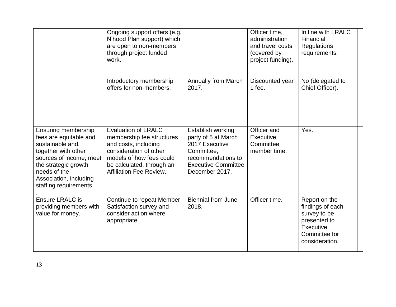|                                                                                                                                                                                                                       | Ongoing support offers (e.g.<br>N'hood Plan support) which<br>are open to non-members<br>through project funded<br>work.                                                                      |                                                                                                                                                | Officer time,<br>administration<br>and travel costs<br>(covered by<br>project funding). | In line with LRALC<br>Financial<br><b>Regulations</b><br>requirements.                                            |  |
|-----------------------------------------------------------------------------------------------------------------------------------------------------------------------------------------------------------------------|-----------------------------------------------------------------------------------------------------------------------------------------------------------------------------------------------|------------------------------------------------------------------------------------------------------------------------------------------------|-----------------------------------------------------------------------------------------|-------------------------------------------------------------------------------------------------------------------|--|
|                                                                                                                                                                                                                       | Introductory membership<br>offers for non-members.                                                                                                                                            | <b>Annually from March</b><br>2017.                                                                                                            | Discounted year<br>1 fee.                                                               | No (delegated to<br>Chief Officer).                                                                               |  |
| <b>Ensuring membership</b><br>fees are equitable and<br>sustainable and,<br>together with other<br>sources of income, meet<br>the strategic growth<br>needs of the<br>Association, including<br>staffing requirements | <b>Evaluation of LRALC</b><br>membership fee structures<br>and costs, including<br>consideration of other<br>models of how fees could<br>be calculated, through an<br>Affiliation Fee Review. | Establish working<br>party of 5 at March<br>2017 Executive<br>Committee,<br>recommendations to<br><b>Executive Committee</b><br>December 2017. | Officer and<br>Executive<br>Committee<br>member time.                                   | Yes.                                                                                                              |  |
| <b>Ensure LRALC is</b><br>providing members with<br>value for money.                                                                                                                                                  | Continue to repeat Member<br>Satisfaction survey and<br>consider action where<br>appropriate.                                                                                                 | <b>Biennial from June</b><br>2018.                                                                                                             | Officer time.                                                                           | Report on the<br>findings of each<br>survey to be<br>presented to<br>Executive<br>Committee for<br>consideration. |  |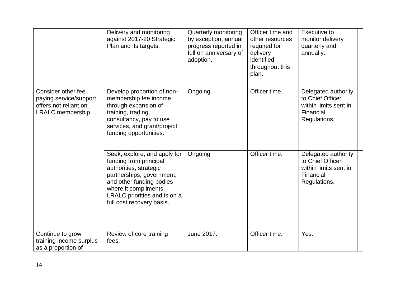|                                                                                            | Delivery and monitoring<br>against 2017-20 Strategic<br>Plan and its targets.                                                                                                                                                  | Quarterly monitoring<br>by exception, annual<br>progress reported in<br>full on anniversary of<br>adoption. | Officer time and<br>other resources<br>required for<br>delivery<br>identified<br>throughout this<br>plan. | Executive to<br>monitor delivery<br>quarterly and<br>annually.                                |  |
|--------------------------------------------------------------------------------------------|--------------------------------------------------------------------------------------------------------------------------------------------------------------------------------------------------------------------------------|-------------------------------------------------------------------------------------------------------------|-----------------------------------------------------------------------------------------------------------|-----------------------------------------------------------------------------------------------|--|
| Consider other fee<br>paying service/support<br>offers not reliant on<br>LRALC membership. | Develop proportion of non-<br>membership fee income<br>through expansion of<br>training, trading,<br>consultancy, pay to use<br>services, and grant/project<br>funding opportunities.                                          | Ongoing.                                                                                                    | Officer time.                                                                                             | Delegated authority<br>to Chief Officer<br>within limits sent in<br>Financial<br>Regulations. |  |
|                                                                                            | Seek, explore, and apply for<br>funding from principal<br>authorities, strategic<br>partnerships, government,<br>and other funding bodies<br>where it compliments<br>LRALC priorities and is on a<br>full cost recovery basis. | Ongoing                                                                                                     | Officer time.                                                                                             | Delegated authority<br>to Chief Officer<br>within limits sent in<br>Financial<br>Regulations. |  |
| Continue to grow<br>training income surplus<br>as a proportion of                          | Review of core training<br>fees.                                                                                                                                                                                               | June 2017.                                                                                                  | Officer time.                                                                                             | Yes.                                                                                          |  |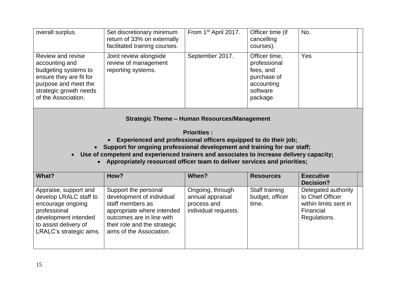| overall surplus.                                                                                                                                                | Set discretionary minimum<br>return of 33% on externally<br>facilitated training courses. | From 1 <sup>st</sup> April 2017. | Officer time (if<br>cancelling<br>courses).                                                     | No. |  |
|-----------------------------------------------------------------------------------------------------------------------------------------------------------------|-------------------------------------------------------------------------------------------|----------------------------------|-------------------------------------------------------------------------------------------------|-----|--|
| Review and revise<br>accounting and<br>budgeting systems to<br>ensure they are fit for<br>purpose and meet the<br>strategic growth needs<br>of the Association. | Joint review alongside<br>review of management<br>reporting systems.                      | September 2017.                  | Officer time,<br>professional<br>fees, and<br>purchase of<br>accounting<br>software<br>package. | Yes |  |

**Strategic Theme – Human Resources/Management**

**Priorities :**

- **Experienced and professional officers equipped to do their job;**
- **Support for ongoing professional development and training for our staff;**
- **Use of competent and experienced trainers and associates to increase delivery capacity;** 
	- **Appropriately resourced officer team to deliver services and priorities;**

| What?                                                                                                                                                            | How?                                                                                                                                                                                         | When?                                                                       | <b>Resources</b>                           | <b>Executive</b><br>Decision?                                                                 |
|------------------------------------------------------------------------------------------------------------------------------------------------------------------|----------------------------------------------------------------------------------------------------------------------------------------------------------------------------------------------|-----------------------------------------------------------------------------|--------------------------------------------|-----------------------------------------------------------------------------------------------|
| Appraise, support and<br>develop LRALC staff to<br>encourage ongoing<br>professional<br>development intended<br>to assist delivery of<br>LRALC's strategic aims. | Support the personal<br>development of individual<br>staff members as<br>appropriate where intended<br>outcomes are in line with<br>their role and the strategic<br>aims of the Association. | Ongoing, through<br>annual appraisal<br>process and<br>individual requests. | Staff training<br>budget, officer<br>time. | Delegated authority<br>to Chief Officer<br>within limits sent in<br>Financial<br>Regulations. |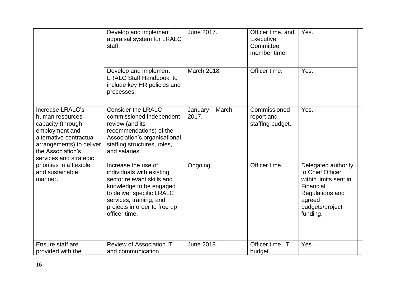|                                                                                                                                                                                                                                            | Develop and implement<br>appraisal system for LRALC<br>staff.                                                                                                                                                      | June 2017.               | Officer time, and<br>Executive<br>Committee<br>member time. | Yes.                                                                                                                                      |  |
|--------------------------------------------------------------------------------------------------------------------------------------------------------------------------------------------------------------------------------------------|--------------------------------------------------------------------------------------------------------------------------------------------------------------------------------------------------------------------|--------------------------|-------------------------------------------------------------|-------------------------------------------------------------------------------------------------------------------------------------------|--|
|                                                                                                                                                                                                                                            | Develop and implement<br><b>LRALC Staff Handbook, to</b><br>include key HR policies and<br>processes.                                                                                                              | March 2018               | Officer time.                                               | Yes.                                                                                                                                      |  |
| Increase LRALC's<br>human resources<br>capacity (through<br>employment and<br>alternative contractual<br>arrangements) to deliver<br>the Association's<br>services and strategic<br>priorities in a flexible<br>and sustainable<br>manner. | <b>Consider the LRALC</b><br>commissioned independent<br>review (and its<br>recommendations) of the<br>Association's organisational<br>staffing structures, roles,<br>and salaries.                                | January - March<br>2017. | Commissioned<br>report and<br>staffing budget.              | Yes.                                                                                                                                      |  |
|                                                                                                                                                                                                                                            | Increase the use of<br>individuals with existing<br>sector relevant skills and<br>knowledge to be engaged<br>to deliver specific LRALC<br>services, training, and<br>projects in order to free up<br>officer time. | Ongoing.                 | Officer time.                                               | Delegated authority<br>to Chief Officer<br>within limits sent in<br>Financial<br>Regulations and<br>agreed<br>budgets/project<br>funding. |  |
| Ensure staff are<br>provided with the                                                                                                                                                                                                      | <b>Review of Association IT</b><br>and communication                                                                                                                                                               | June 2018.               | Officer time, IT<br>budget.                                 | Yes.                                                                                                                                      |  |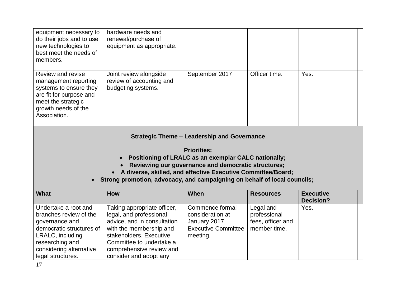| equipment necessary to<br>do their jobs and to use<br>new technologies to<br>best meet the needs of<br>members.                                                                                                                                                                                                                       | hardware needs and<br>renewal/purchase of<br>equipment as appropriate.                                                                                                                                                        |                                                                                               |                                                                |                                      |  |  |
|---------------------------------------------------------------------------------------------------------------------------------------------------------------------------------------------------------------------------------------------------------------------------------------------------------------------------------------|-------------------------------------------------------------------------------------------------------------------------------------------------------------------------------------------------------------------------------|-----------------------------------------------------------------------------------------------|----------------------------------------------------------------|--------------------------------------|--|--|
| Review and revise<br>management reporting<br>systems to ensure they<br>are fit for purpose and<br>meet the strategic<br>growth needs of the<br>Association.                                                                                                                                                                           | Joint review alongside<br>review of accounting and<br>budgeting systems.                                                                                                                                                      | September 2017                                                                                | Officer time.                                                  | Yes.                                 |  |  |
| <b>Strategic Theme - Leadership and Governance</b><br><b>Priorities:</b><br>Positioning of LRALC as an exemplar CALC nationally;<br>Reviewing our governance and democratic structures;<br>• A diverse, skilled, and effective Executive Committee/Board;<br>Strong promotion, advocacy, and campaigning on behalf of local councils; |                                                                                                                                                                                                                               |                                                                                               |                                                                |                                      |  |  |
| <b>What</b>                                                                                                                                                                                                                                                                                                                           | How                                                                                                                                                                                                                           | When                                                                                          | <b>Resources</b>                                               | <b>Executive</b><br><b>Decision?</b> |  |  |
| Undertake a root and<br>branches review of the<br>governance and<br>democratic structures of<br>LRALC, including<br>researching and<br>considering alternative<br>legal structures.                                                                                                                                                   | Taking appropriate officer,<br>legal, and professional<br>advice, and in consultation<br>with the membership and<br>stakeholders, Executive<br>Committee to undertake a<br>comprehensive review and<br>consider and adopt any | Commence formal<br>consideration at<br>January 2017<br><b>Executive Committee</b><br>meeting. | Legal and<br>professional<br>fees, officer and<br>member time, | Yes.                                 |  |  |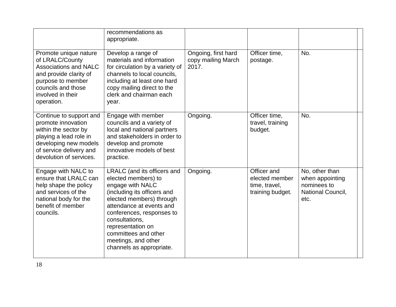|                                                                                                                                                                                  | recommendations as<br>appropriate.                                                                                                                                                                                                                                                                           |                                                    |                                                                    |                                                                               |
|----------------------------------------------------------------------------------------------------------------------------------------------------------------------------------|--------------------------------------------------------------------------------------------------------------------------------------------------------------------------------------------------------------------------------------------------------------------------------------------------------------|----------------------------------------------------|--------------------------------------------------------------------|-------------------------------------------------------------------------------|
| Promote unique nature<br>of LRALC/County<br><b>Associations and NALC</b><br>and provide clarity of<br>purpose to member<br>councils and those<br>involved in their<br>operation. | Develop a range of<br>materials and information<br>for circulation by a variety of<br>channels to local councils,<br>including at least one hard<br>copy mailing direct to the<br>clerk and chairman each<br>year.                                                                                           | Ongoing, first hard<br>copy mailing March<br>2017. | Officer time,<br>postage.                                          | No.                                                                           |
| Continue to support and<br>promote innovation<br>within the sector by<br>playing a lead role in<br>developing new models<br>of service delivery and<br>devolution of services.   | Engage with member<br>councils and a variety of<br>local and national partners<br>and stakeholders in order to<br>develop and promote<br>innovative models of best<br>practice.                                                                                                                              | Ongoing.                                           | Officer time,<br>travel, training<br>budget.                       | No.                                                                           |
| Engage with NALC to<br>ensure that LRALC can<br>help shape the policy<br>and services of the<br>national body for the<br>benefit of member<br>councils.                          | LRALC (and its officers and<br>elected members) to<br>engage with NALC<br>(including its officers and<br>elected members) through<br>attendance at events and<br>conferences, responses to<br>consultations,<br>representation on<br>committees and other<br>meetings, and other<br>channels as appropriate. | Ongoing.                                           | Officer and<br>elected member<br>time, travel,<br>training budget. | No, other than<br>when appointing<br>nominees to<br>National Council,<br>etc. |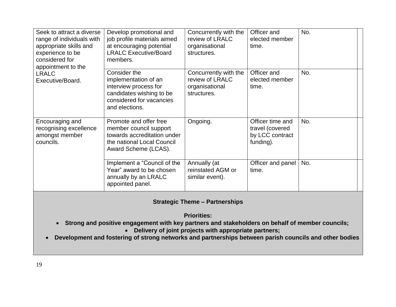| Seek to attract a diverse<br>range of individuals with<br>appropriate skills and<br>experience to be<br>considered for<br>appointment to the | Develop promotional and<br>job profile materials aimed<br>at encouraging potential<br><b>LRALC Executive/Board</b><br>members.          | Concurrently with the<br>review of LRALC<br>organisational<br>structures. | Officer and<br>elected member<br>time.                              | No. |
|----------------------------------------------------------------------------------------------------------------------------------------------|-----------------------------------------------------------------------------------------------------------------------------------------|---------------------------------------------------------------------------|---------------------------------------------------------------------|-----|
| <b>LRALC</b><br>Executive/Board.                                                                                                             | Consider the<br>implementation of an<br>interview process for<br>candidates wishing to be<br>considered for vacancies<br>and elections. | Concurrently with the<br>review of LRALC<br>organisational<br>structures. | Officer and<br>elected member<br>time.                              | No. |
| Encouraging and<br>recognising excellence<br>amongst member<br>councils.                                                                     | Promote and offer free<br>member council support<br>towards accreditation under<br>the national Local Council<br>Award Scheme (LCAS).   | Ongoing.                                                                  | Officer time and<br>travel (covered<br>by LCC contract<br>funding). | No. |
|                                                                                                                                              | Implement a "Council of the<br>Year" award to be chosen<br>annually by an LRALC<br>appointed panel.                                     | Annually (at<br>reinstated AGM or<br>similar event).                      | Officer and panel<br>time.                                          | No. |

#### **Strategic Theme – Partnerships**

**Priorities:** 

- **Strong and positive engagement with key partners and stakeholders on behalf of member councils;**
	- **Delivery of joint projects with appropriate partners;**
- **Development and fostering of strong networks and partnerships between parish councils and other bodies**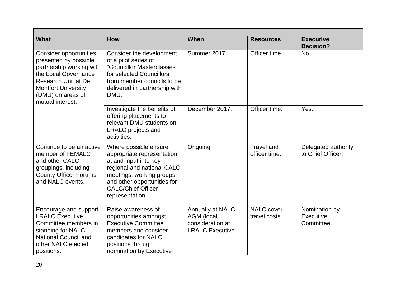| <b>What</b>                                                                                                                                                                                                     | <b>How</b>                                                                                                                                                                                                             | When                                                                                | <b>Resources</b>                   | <b>Executive</b><br><b>Decision?</b>     |  |
|-----------------------------------------------------------------------------------------------------------------------------------------------------------------------------------------------------------------|------------------------------------------------------------------------------------------------------------------------------------------------------------------------------------------------------------------------|-------------------------------------------------------------------------------------|------------------------------------|------------------------------------------|--|
| <b>Consider opportunities</b><br>presented by possible<br>partnership working with<br>the Local Governance<br><b>Research Unit at De</b><br><b>Montfort University</b><br>(DMU) on areas of<br>mutual interest. | Consider the development<br>of a pilot series of<br>"Councillor Masterclasses"<br>for selected Councillors<br>from member councils to be<br>delivered in partnership with<br>DMU.                                      | Summer 2017                                                                         | Officer time.                      | No.                                      |  |
|                                                                                                                                                                                                                 | Investigate the benefits of<br>offering placements to<br>relevant DMU students on<br><b>LRALC</b> projects and<br>activities.                                                                                          | December 2017.                                                                      | Officer time.                      | Yes.                                     |  |
| Continue to be an active<br>member of FEMALC<br>and other CALC<br>groupings, including<br><b>County Officer Forums</b><br>and NALC events.                                                                      | Where possible ensure<br>appropriate representation<br>at and input into key<br>regional and national CALC<br>meetings, working groups,<br>and other opportunities for<br><b>CALC/Chief Officer</b><br>representation. | Ongoing                                                                             | <b>Travel and</b><br>officer time. | Delegated authority<br>to Chief Officer. |  |
| Encourage and support<br><b>LRALC Executive</b><br>Committee members in<br>standing for NALC<br><b>National Council and</b><br>other NALC elected<br>positions.                                                 | Raise awareness of<br>opportunities amongst<br><b>Executive Committee</b><br>members and consider<br>candidates for NALC<br>positions through<br>nomination by Executive                                               | Annually at NALC<br><b>AGM</b> (local<br>consideration at<br><b>LRALC Executive</b> | <b>NALC</b> cover<br>travel costs. | Nomination by<br>Executive<br>Committee. |  |